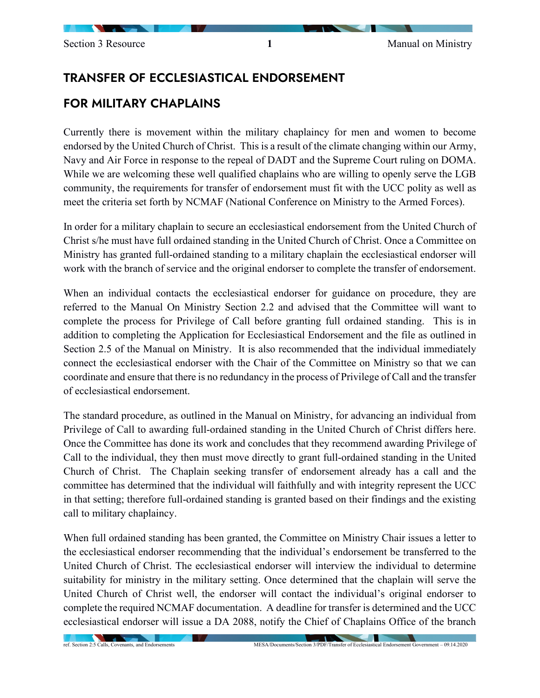## TRANSFER OF ECCLESIASTICAL ENDORSEMENT

## FOR MILITARY CHAPLAINS

Currently there is movement within the military chaplaincy for men and women to become endorsed by the United Church of Christ. This is a result of the climate changing within our Army, Navy and Air Force in response to the repeal of DADT and the Supreme Court ruling on DOMA. While we are welcoming these well qualified chaplains who are willing to openly serve the LGB community, the requirements for transfer of endorsement must fit with the UCC polity as well as meet the criteria set forth by NCMAF (National Conference on Ministry to the Armed Forces).

In order for a military chaplain to secure an ecclesiastical endorsement from the United Church of Christ s/he must have full ordained standing in the United Church of Christ. Once a Committee on Ministry has granted full-ordained standing to a military chaplain the ecclesiastical endorser will work with the branch of service and the original endorser to complete the transfer of endorsement.

When an individual contacts the ecclesiastical endorser for guidance on procedure, they are referred to the Manual On Ministry Section 2.2 and advised that the Committee will want to complete the process for Privilege of Call before granting full ordained standing. This is in addition to completing the Application for Ecclesiastical Endorsement and the file as outlined in Section 2.5 of the Manual on Ministry. It is also recommended that the individual immediately connect the ecclesiastical endorser with the Chair of the Committee on Ministry so that we can coordinate and ensure that there is no redundancy in the process of Privilege of Call and the transfer of ecclesiastical endorsement.

The standard procedure, as outlined in the Manual on Ministry, for advancing an individual from Privilege of Call to awarding full-ordained standing in the United Church of Christ differs here. Once the Committee has done its work and concludes that they recommend awarding Privilege of Call to the individual, they then must move directly to grant full-ordained standing in the United Church of Christ. The Chaplain seeking transfer of endorsement already has a call and the committee has determined that the individual will faithfully and with integrity represent the UCC in that setting; therefore full-ordained standing is granted based on their findings and the existing call to military chaplaincy.

When full ordained standing has been granted, the Committee on Ministry Chair issues a letter to the ecclesiastical endorser recommending that the individual's endorsement be transferred to the United Church of Christ. The ecclesiastical endorser will interview the individual to determine suitability for ministry in the military setting. Once determined that the chaplain will serve the United Church of Christ well, the endorser will contact the individual's original endorser to complete the required NCMAF documentation. A deadline for transfer is determined and the UCC ecclesiastical endorser will issue a DA 2088, notify the Chief of Chaplains Office of the branch